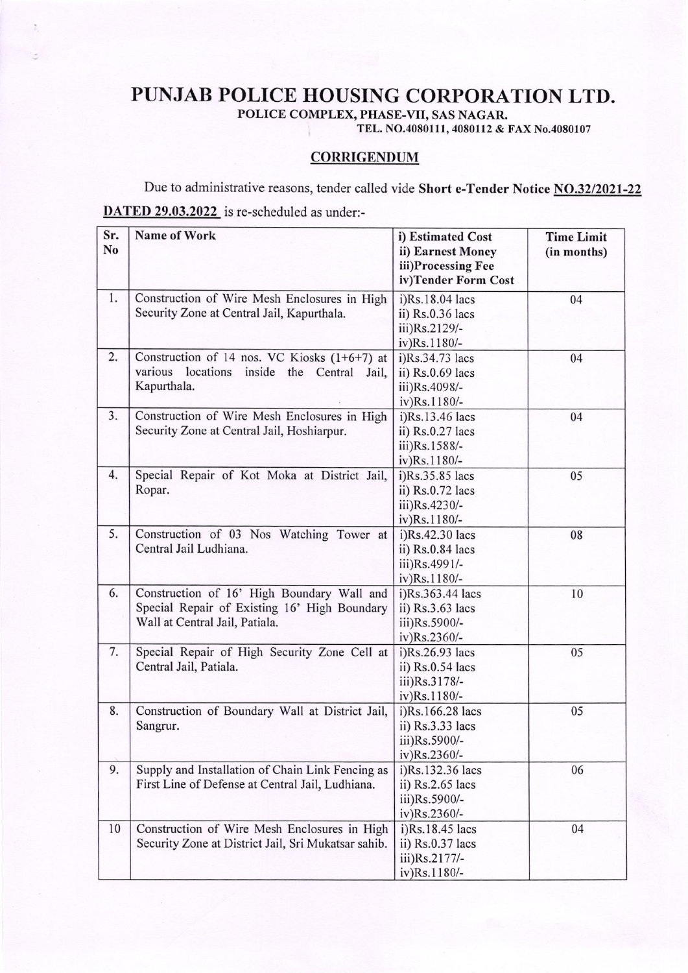## PUNJAB POLICE HOUSING CORPORATION LTD.

POLICE COMPLEX, PHASE-VII, SAS NAGAR.

TEL. NO.4080111, 4080112 & FAX No.4080107

## **CORRIGENDUM**

Due to administrative reasons, tender called vide Short e-Tender Notice NO.32/2021-22 DATED 29.03.2022 is re-scheduled as under:-

| Sr.<br>No | Name of Work                                                                                                                 | i) Estimated Cost<br>ii) Earnest Money<br>iii)Processing Fee<br>iv)Tender Form Cost | <b>Time Limit</b><br>(in months) |
|-----------|------------------------------------------------------------------------------------------------------------------------------|-------------------------------------------------------------------------------------|----------------------------------|
| 1.        | Construction of Wire Mesh Enclosures in High<br>Security Zone at Central Jail, Kapurthala.                                   | i)Rs.18.04 lacs<br>ii) Rs.0.36 lacs<br>iii)Rs.2129/-<br>iv)Rs.1180/-                | 04                               |
| 2.        | Construction of 14 nos. VC Kiosks $(1+6+7)$ at<br>various<br>locations inside the Central Jail,<br>Kapurthala.               | i)Rs.34.73 lacs<br>ii) Rs.0.69 lacs<br>iii)Rs.4098/-<br>iv)Rs.1180/-                | 04                               |
| 3.        | Construction of Wire Mesh Enclosures in High<br>Security Zone at Central Jail, Hoshiarpur.                                   | i)Rs.13.46 lacs<br>ii) $Rs.0.27$ lacs<br>iii)Rs.1588/-<br>iv)Rs.1180/-              | 04                               |
| 4.        | Special Repair of Kot Moka at District Jail,<br>Ropar.                                                                       | i)Rs.35.85 lacs<br>ii) Rs.0.72 lacs<br>iii)Rs.4230/-<br>iv)Rs.1180/-                | 05                               |
| 5.        | Construction of 03 Nos Watching Tower at<br>Central Jail Ludhiana.                                                           | i)Rs.42.30 lacs<br>ii) Rs.0.84 lacs<br>iii)Rs.4991/-<br>iv)Rs.1180/-                | 08                               |
| 6.        | Construction of 16' High Boundary Wall and<br>Special Repair of Existing 16' High Boundary<br>Wall at Central Jail, Patiala. | i)Rs.363.44 lacs<br>ii) $Rs.3.63$ lacs<br>iii)Rs.5900/-<br>iv)Rs.2360/-             | 10                               |
| 7.        | Special Repair of High Security Zone Cell at<br>Central Jail, Patiala.                                                       | $i)$ Rs.26.93 lacs<br>ii) $Rs.0.54$ lacs<br>iii)Rs.3178/-<br>iv)Rs.1180/-           | 05                               |
| 8.        | Construction of Boundary Wall at District Jail,<br>Sangrur.                                                                  | i)Rs.166.28 lacs<br>ii) Rs.3.33 lacs<br>iii)Rs.5900/-<br>iv)Rs.2360/-               | 05                               |
| 9.        | Supply and Installation of Chain Link Fencing as<br>First Line of Defense at Central Jail, Ludhiana.                         | i)Rs.132.36 lacs<br>ii) Rs.2.65 lacs<br>iii)Rs.5900/-<br>iv)Rs.2360/-               | 06                               |
| 10        | Construction of Wire Mesh Enclosures in High<br>Security Zone at District Jail, Sri Mukatsar sahib.                          | i)Rs.18.45 lacs<br>ii) $Rs.0.37$ lacs<br>iii)Rs.2177/-<br>iv)Rs.1180/-              | 04                               |